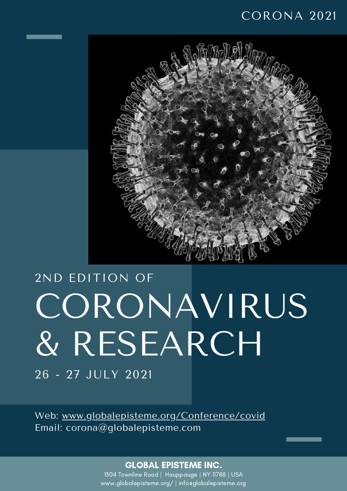#### CORONA 2021



# CORONAVIRUS & RESEARCH 2ND EDITION OF

26 - 27 JULY 2021

Web: [www.globalepisteme.org/Conference/covid](http://www.globalepisteme.org/Conference/covid) Email: corona@globalepisteme.com

#### GLOBAL EPISTEME INC.

1304 Townline Road | Hauppauge | NY 11788 | USA www.globalepisteme.org/ | info@globalepisteme.org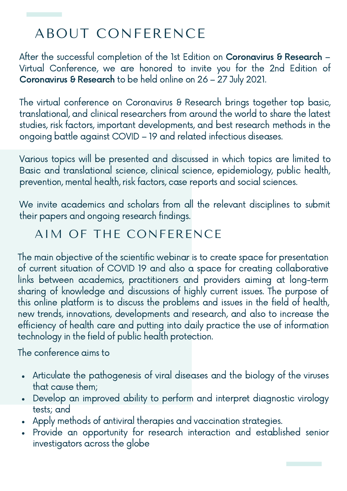## ABOUT CONFERENCE

After the successful completion of the 1st Edition on [Coronavirus](http://globalepisteme.org/Conference/coronavirus) & Research -Virtual Conference, we are honored to invite you for the 2nd [Edition](http://www.globalepisteme.org/Conference/covid) of [Coronavirus](http://www.globalepisteme.org/Conference/covid) & Research to be held online on 26 – 27 July 2021.

The virtual conference on [Coronavirus](http://www.globalepisteme.org/Conference/covid) & Research brings together top basic, translational, and clinical researchers from around the world to share the latest studies, risk factors, important developments, and best research methods in the ongoing battle against COVID – 19 and related infectious diseases.

Various topics will be presented and discussed in which topics are limited to Basic and translational science, clinical science, epidemiology, public health, prevention, mental health, risk factors, case reports and social sciences.

We invite academics and scholars from all the relevant disciplines to submit their papers and ongoing research findings.

#### AIM OF THE CONFERENCE

The main objective of the scientific webinar is to create space for presentation of current situation of COVID 19 and also a space for creating collaborative links between academics, practitioners and providers aiming at long-term sharing of knowledge and discussions of highly current issues. The purpose of this online platform is to discuss the problems and issues in the field of health, new trends, innovations, developments and research, and also to increase the efficiency of health care and putting into daily practice the use of information technology in the field of public health protection.

The conference aims to

- Articulate the pathogenesis of viral diseases and the biology of the viruses that cause them;
- Develop an improved ability to perform and interpret diagnostic virology tests; and
- Apply methods of antiviral therapies and vaccination strategies.
- Provide an opportunity for research interaction and established senior investigators across the globe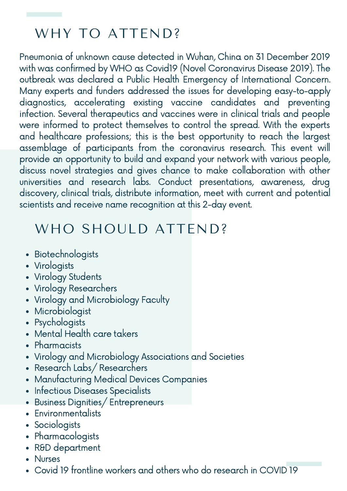## WHY TO ATTEND?

Pneumonia of unknown cause detected in Wuhan, China on 31 December 2019 with was confirmed by WHO as Covid19 (Novel Coronavirus Disease 2019). The outbreak was declared a Public Health Emergency of International Concern. Many experts and funders addressed the issues for developing easy-to-apply diagnostics, accelerating existing vaccine candidates and preventing infection. Several therapeutics and vaccines were in clinical trials and people were informed to protect themselves to control the spread. With the experts and healthcare professions; this is the best opportunity to reach the largest assemblage of participants from the coronavirus research. This event will provide an opportunity to build and expand your network with various people, discuss novel strategies and gives chance to make collaboration with other universities and research labs. Conduct presentations, awareness, drug discovery, clinical trials, distribute information, meet with current and potential scientists and receive name recognition at this 2-day event.

#### WHO SHOULD ATTEND?

- Biotechnologists
- Virologists
- Virology Students
- Virology Researchers
- Virology and Microbiology Faculty
- Microbiologist
- Psychologists
- Mental Health care takers
- Pharmacists
- Virology and Microbiology Associations and Societies
- Research Labs/Researchers
- Manufacturing Medical Devices Companies
- Infectious Diseases Specialists
- Business Dignities/ Entrepreneurs
- **Environmentalists**
- Sociologists
- Pharmacologists
- R&D department
- **Nurses**
- Covid 19 frontline workers and others who do research in COVID 19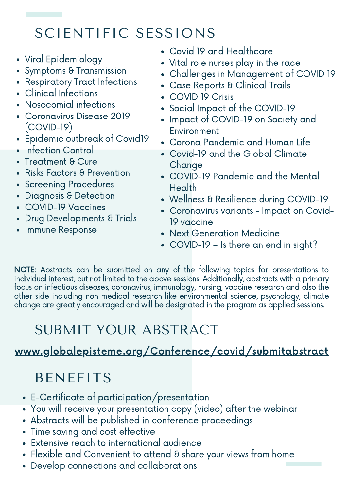# SCIENTIFIC SESSIONS

- Viral Epidemiology
- Symptoms & Transmission
- Respiratory Tract Infections
- Clinical Infections
- Nosocomial infections
- Coronavirus Disease 2019 (COVID-19)
- Epidemic outbreak of Covid19
- **Infection Control**
- Treatment & Cure  $\bullet$
- Risks Factors & Prevention
- Screening Procedures
- Diagnosis & Detection
- COVID-19 Vaccines
- Drug Developments & Trials
- Immune Response
- Covid 19 and Healthcare
- Vital role nurses play in the race
- Challenges in Management of COVID 19
- Case Reports & Clinical Trails
- COVID 19 Crisis
- Social Impact of the COVID-19
- Impact of COVID-19 on Society and Environment
- Corona Pandemic and Human Life
- Covid-19 and the Global Climate **Change**
- COVID-19 Pandemic and the Mental Health
- Wellness & Resilience during COVID-19
- Coronavirus variants Impact on Covid-19 vaccine
- Next Generation Medicine
- COVID-19 Is there an end in sight?

NOTE: Abstracts can be submitted on any of the following topics for presentations to individual interest, but not limited to the above sessions. Additionally, abstracts with a primary focus on infectious diseases, coronavirus, immunology, nursing, vaccine research and also the other side including non medical research like environmental science, psychology, climate change are greatly encouraged and will be designated in the program as applied sessions.

# SUBMIT YOUR ABSTRACT

#### [www.globalepisteme.org/Conference/covid/submitabstract](http://www.globalepisteme.org/Conference/covid/submitabstract)

## BENEFITS

- E-Certificate of participation/presentation
- You will receive your presentation copy (video) after the webinar
- Abstracts will be published in conference proceedings
- Time saving and cost effective
- Extensive reach to international audience
- Flexible and Convenient to attend & share your views from home
- Develop connections and collaborations